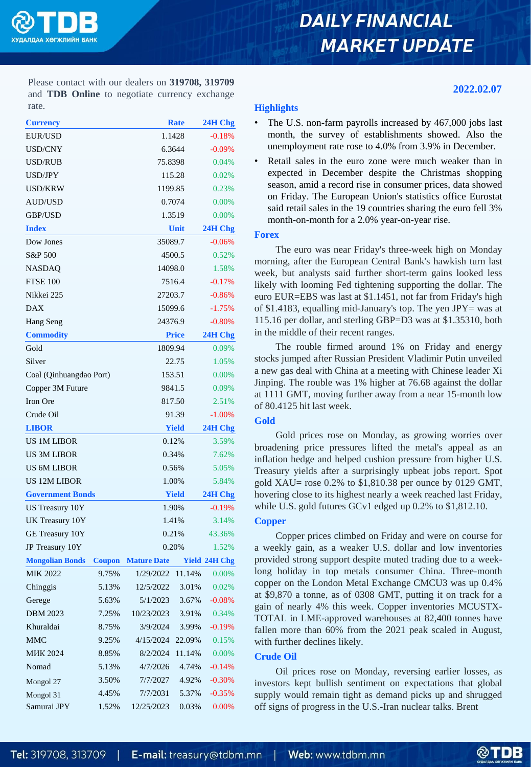# **DAILY FINANCIAL MARKET UPDATE**

### **2022.02.07**

Please contact with our dealers on **319708, 319709** and **TDB Online** to negotiate currency exchange rate.

| <b>Currency</b>         |               |                    | <b>Rate</b>  | 24H Chg              |  |
|-------------------------|---------------|--------------------|--------------|----------------------|--|
| <b>EUR/USD</b>          |               | 1.1428             | $-0.18%$     |                      |  |
| USD/CNY                 |               | 6.3644             | $-0.09%$     |                      |  |
| <b>USD/RUB</b>          |               | 75.8398            |              | 0.04%                |  |
| USD/JPY                 |               |                    | 115.28       | 0.02%                |  |
| <b>USD/KRW</b>          |               | 1199.85            |              | 0.23%                |  |
| <b>AUD/USD</b>          |               |                    | 0.7074       | 0.00%                |  |
| <b>GBP/USD</b>          |               |                    | 1.3519       | 0.00%                |  |
| <b>Index</b>            |               | Unit               | 24H Chg      |                      |  |
| Dow Jones               |               | 35089.7            |              | $-0.06%$             |  |
| S&P 500                 |               | 4500.5             | 0.52%        |                      |  |
| <b>NASDAQ</b>           |               | 14098.0            | 1.58%        |                      |  |
| <b>FTSE 100</b>         |               | 7516.4             | $-0.17%$     |                      |  |
| Nikkei 225              |               | 27203.7            | $-0.86%$     |                      |  |
| <b>DAX</b>              |               | 15099.6            | $-1.75%$     |                      |  |
| Hang Seng               |               | 24376.9            | $-0.80%$     |                      |  |
| <b>Commodity</b>        |               |                    | <b>Price</b> |                      |  |
| Gold                    |               |                    | 1809.94      |                      |  |
| Silver                  |               |                    | 22.75        |                      |  |
| Coal (Qinhuangdao Port) |               | 153.51             | 0.00%        |                      |  |
| Copper 3M Future        |               | 9841.5             | 0.09%        |                      |  |
| Iron Ore                |               | 817.50             | 2.51%        |                      |  |
| Crude Oil               |               | 91.39              | $-1.00%$     |                      |  |
| <b>LIBOR</b>            |               | <b>Yield</b>       | 24H Chg      |                      |  |
| <b>US 1M LIBOR</b>      |               | 0.12%              | 3.59%        |                      |  |
| <b>US 3M LIBOR</b>      |               | 0.34%              | 7.62%        |                      |  |
| <b>US 6M LIBOR</b>      |               | 0.56%              | 5.05%        |                      |  |
| <b>US 12M LIBOR</b>     |               | 1.00%              | 5.84%        |                      |  |
| <b>Government Bonds</b> |               | <b>Yield</b>       | 24H Chg      |                      |  |
| US Treasury 10Y         |               | 1.90%              | $-0.19%$     |                      |  |
| UK Treasury 10Y         |               | 1.41%              | 3.14%        |                      |  |
| GE Treasury 10Y         |               | 0.21%              | 43.36%       |                      |  |
| JP Treasury 10Y         |               |                    | 0.20%        | 1.52%                |  |
| <b>Mongolian Bonds</b>  | <b>Coupon</b> | <b>Mature Date</b> |              | <b>Yield 24H Chg</b> |  |
| <b>MIK 2022</b>         | 9.75%         | 1/29/2022          | 11.14%       | 0.00%                |  |
| Chinggis                | 5.13%         | 12/5/2022          | 3.01%        | 0.02%                |  |
| Gerege                  | 5.63%         | 5/1/2023           | 3.67%        | $-0.08%$             |  |
| <b>DBM 2023</b>         | 7.25%         | 10/23/2023         | 3.91%        | 0.34%                |  |
| Khuraldai               | 8.75%         | 3/9/2024           | 3.99%        | $-0.19%$             |  |
| <b>MMC</b>              | 9.25%         | 4/15/2024          | 22.09%       | 0.15%                |  |
| <b>MIK 2024</b>         | 8.85%         | 8/2/2024           | 11.14%       | $0.00\%$             |  |
| Nomad                   | 5.13%         | 4/7/2026           | 4.74%        | $-0.14%$             |  |
| Mongol 27               | 3.50%         | 7/7/2027           | 4.92%        | $-0.30%$             |  |
| Mongol 31               | 4.45%         | 7/7/2031           | 5.37%        | $-0.35%$             |  |
| Samurai JPY             | 1.52%         | 12/25/2023         | 0.03%        | 0.00%                |  |

### **Highlights**

- The U.S. non-farm payrolls increased by 467,000 jobs last month, the survey of establishments showed. Also the unemployment rate rose to 4.0% from 3.9% in December.
- Retail sales in the euro zone were much weaker than in expected in December despite the Christmas shopping season, amid a record rise in consumer prices, data showed on Friday. The European Union's statistics office Eurostat said retail sales in the 19 countries sharing the euro fell 3% month-on-month for a 2.0% year-on-year rise.

#### **Forex**

The euro was near Friday's three-week high on Monday morning, after the European Central Bank's hawkish turn last week, but analysts said further short-term gains looked less likely with looming Fed tightening supporting the dollar. The euro EUR=EBS was last at \$1.1451, not far from Friday's high of \$1.4183, equalling mid-January's top. The yen JPY= was at 115.16 per dollar, and sterling GBP=D3 was at \$1.35310, both in the middle of their recent ranges.

The rouble firmed around 1% on Friday and energy stocks jumped after Russian President Vladimir Putin unveiled a new gas deal with China at a meeting with Chinese leader Xi Jinping. The rouble was 1% higher at 76.68 against the dollar at 1111 GMT, moving further away from a near 15-month low of 80.4125 hit last week.

# **Gold**

Gold prices rose on Monday, as growing worries over broadening price pressures lifted the metal's appeal as an inflation hedge and helped cushion pressure from higher U.S. Treasury yields after a surprisingly upbeat jobs report. Spot gold XAU= rose 0.2% to \$1,810.38 per ounce by 0129 GMT, hovering close to its highest nearly a week reached last Friday, while U.S. gold futures GCv1 edged up 0.2% to \$1,812.10.

# **Copper**

Copper prices climbed on Friday and were on course for a weekly gain, as a weaker U.S. dollar and low inventories provided strong support despite muted trading due to a weeklong holiday in top metals consumer China. Three-month copper on the London Metal Exchange CMCU3 was up 0.4% at \$9,870 a tonne, as of 0308 GMT, putting it on track for a gain of nearly 4% this week. Copper inventories MCUSTX-TOTAL in LME-approved warehouses at 82,400 tonnes have fallen more than 60% from the 2021 peak scaled in August, with further declines likely.

# **Crude Oil**

Oil prices rose on Monday, reversing earlier losses, as investors kept bullish sentiment on expectations that global supply would remain tight as demand picks up and shrugged off signs of progress in the U.S.-Iran nuclear talks. Brent